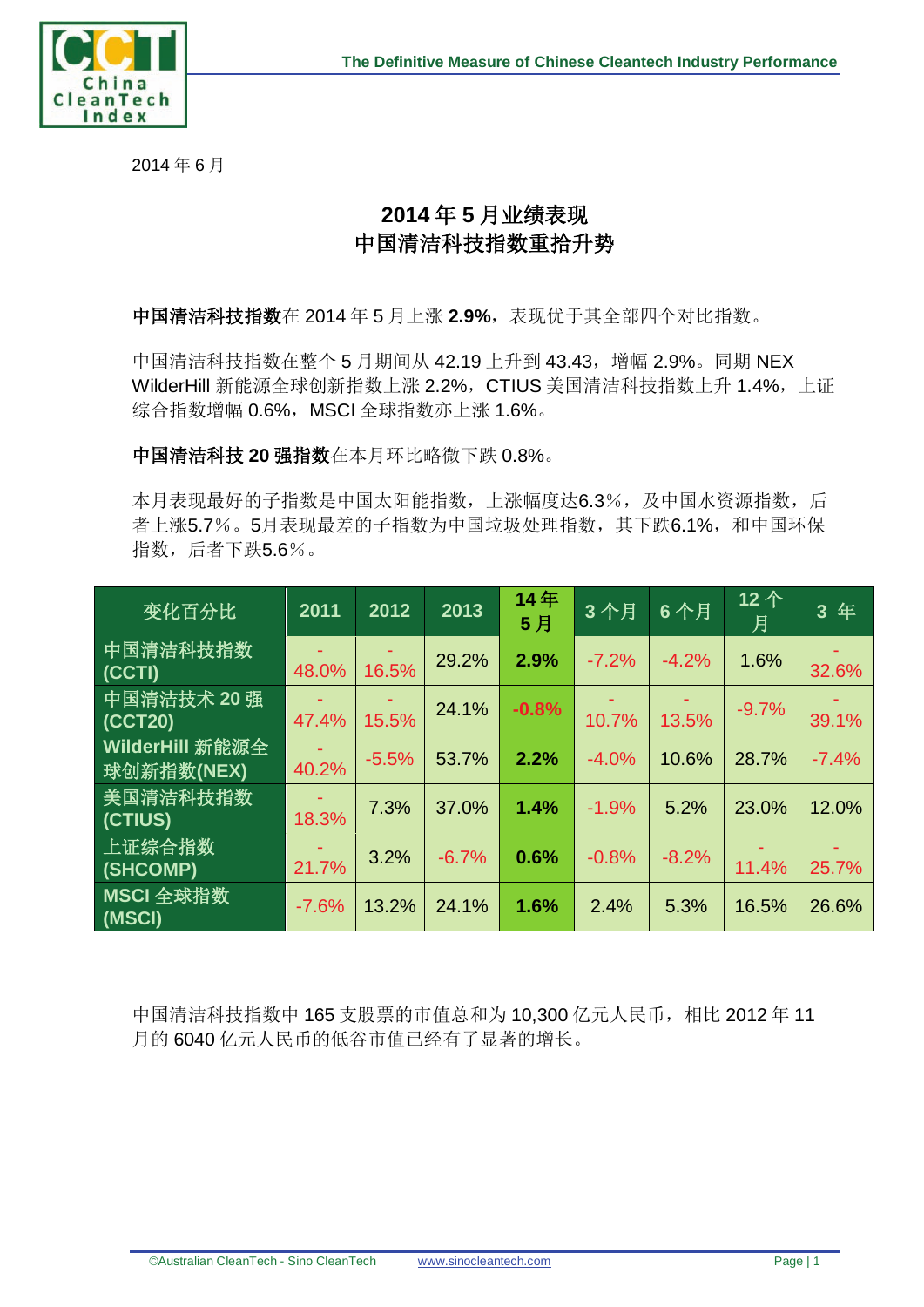

2014 年 6 月

## **2014** 年 **5** 月业绩表现 中国清洁科技指数重拾升势

中国清洁科技指数在 2014 年 5 月上涨 2.9%,表现优于其全部四个对比指数。

中国清洁科技指数在整个 5 月期间从 42.19 上升到 43.43, 增幅 2.9%。同期 NEX WilderHill 新能源全球创新指数上涨 2.2%, CTIUS 美国清洁科技指数上升 1.4%, 上证 综合指数增幅 0.6%, MSCI 全球指数亦上涨 1.6%。

中国清洁科技 **20** 强指数在本月环比略微下跌 0.8%。

本月表现最好的子指数是中国太阳能指数,上涨幅度达6.3%,及中国水资源指数,后 者上涨5.7%。5月表现最差的子指数为中国垃圾处理指数,其下跌6.1%,和中国环保 指数,后者下跌5.6%。

| 变化百分比                         | 2011    | 2012    | 2013    | 14年<br>5月 | 3个月     | 6个月     | 12个<br>月 | 3年      |
|-------------------------------|---------|---------|---------|-----------|---------|---------|----------|---------|
| 中国清洁科技指数<br>(CCTI)            | 48.0%   | 16.5%   | 29.2%   | 2.9%      | $-7.2%$ | $-4.2%$ | 1.6%     | 32.6%   |
| 中国清洁技术 20 强<br>(CCT20)        | 47.4%   | 15.5%   | 24.1%   | $-0.8%$   | 10.7%   | 13.5%   | $-9.7%$  | 39.1%   |
| WilderHill 新能源全<br>球创新指数(NEX) | 40.2%   | $-5.5%$ | 53.7%   | 2.2%      | $-4.0%$ | 10.6%   | 28.7%    | $-7.4%$ |
| 美国清洁科技指数<br>(CTIUS)           | 18.3%   | 7.3%    | 37.0%   | 1.4%      | $-1.9%$ | 5.2%    | 23.0%    | 12.0%   |
| 上证综合指数<br>(SHCOMP)            | 21.7%   | 3.2%    | $-6.7%$ | 0.6%      | $-0.8%$ | $-8.2%$ | 11.4%    | 25.7%   |
| MSCI 全球指数<br>(MSCI)           | $-7.6%$ | 13.2%   | 24.1%   | 1.6%      | 2.4%    | 5.3%    | 16.5%    | 26.6%   |

中国清洁科技指数中 165 支股票的市值总和为 10,300 亿元人民币,相比 2012 年 11 月的 6040 亿元人民币的低谷市值已经有了显著的增长。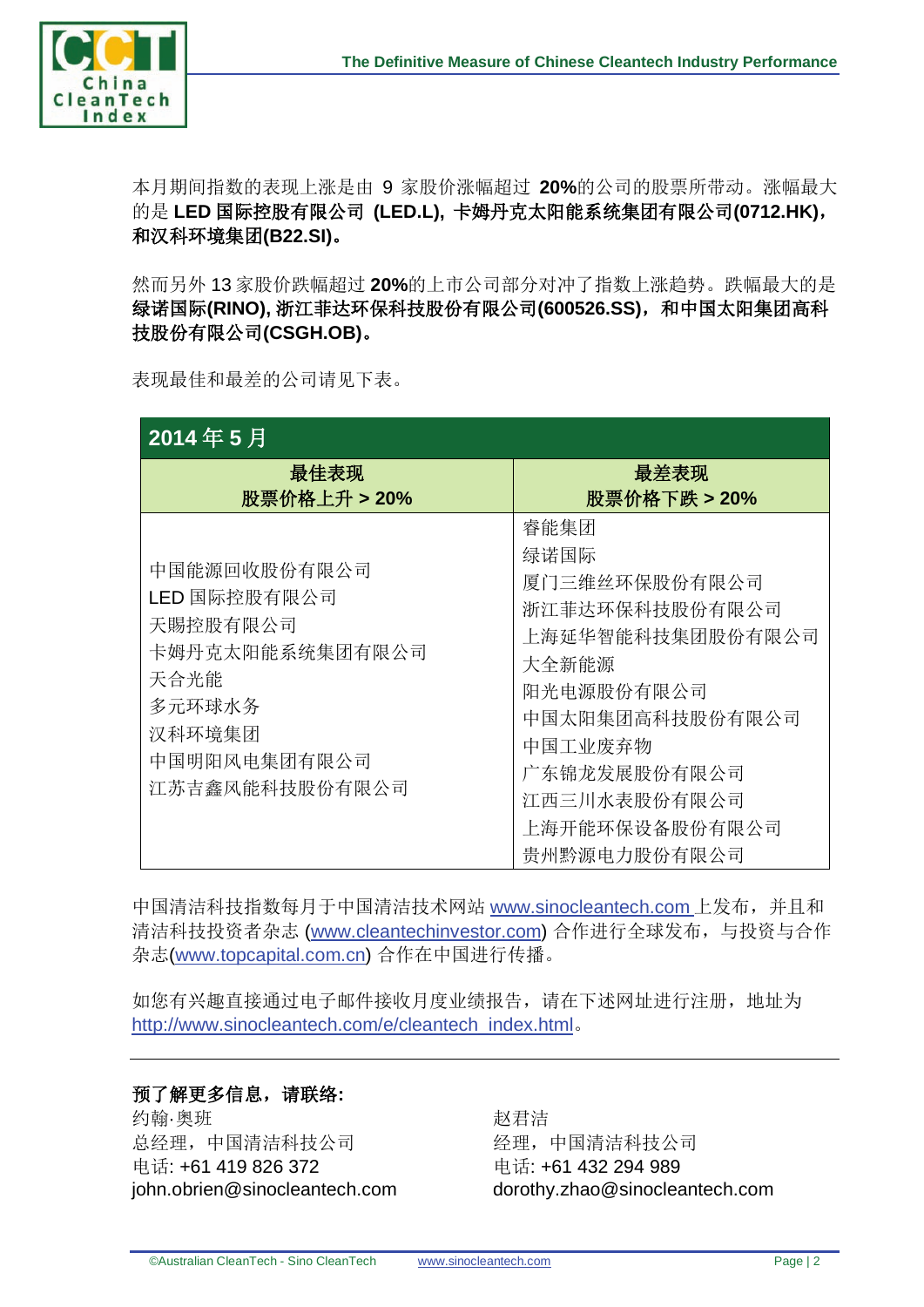

本月期间指数的表现上涨是由 9 家股价涨幅超过 **20%**的公司的股票所带动。涨幅最大 的是 **LED** 国际控股有限公司 **(LED.L),** 卡姆丹克太阳能系统集团有限公司**(0712.HK)**, 和汉科环境集团**(B22.SI)**。

然而另外 13 家股价跌幅超过 **20%**的上市公司部分对冲了指数上涨趋势。跌幅最大的是 绿诺国际**(RINO),** 浙江菲达环保科技股份有限公司**(600526.SS)**,和中国太阳集团高科 技股份有限公司**(CSGH.OB)**。

表现最佳和最差的公司请见下表。

| 2014年5月                                                                                                                   |                                                                                                                                                                                            |  |  |  |  |  |
|---------------------------------------------------------------------------------------------------------------------------|--------------------------------------------------------------------------------------------------------------------------------------------------------------------------------------------|--|--|--|--|--|
| 最佳表现<br>股票价格上升 > 20%                                                                                                      | 最差表现<br>股票价格下跌 > 20%                                                                                                                                                                       |  |  |  |  |  |
| 中国能源回收股份有限公司<br>LED 国际控股有限公司<br>天賜控股有限公司<br>卡姆丹克太阳能系统集团有限公司<br>天合光能<br>多元环球水务<br>汉科环境集团<br>中国明阳风电集团有限公司<br>江苏吉鑫风能科技股份有限公司 | 睿能集团<br>绿诺国际<br>厦门三维丝环保股份有限公司<br>浙江菲达环保科技股份有限公司<br>上海延华智能科技集团股份有限公司<br>大全新能源<br>阳光电源股份有限公司<br>中国太阳集团高科技股份有限公司<br>中国工业废弃物<br>广东锦龙发展股份有限公司<br>江西三川水表股份有限公司<br>上海开能环保设备股份有限公司<br>贵州黔源电力股份有限公司 |  |  |  |  |  |

中国清洁科技指数每月于中国清洁技术网站 [www.sinocleantech.com](http://www.sinocleantech.com/) 上发布, 并且和 清洁科技投资者杂志 [\(www.cleantechinvestor.com\)](http://www.cleantechinvestor.com/) 合作进行全球发布, 与投资与合作 杂志[\(www.topcapital.com.cn\)](http://www.topcapital.com.cn/) 合作在中国进行传播。

如您有兴趣直接通过电子邮件接收月度业绩报告,请在下述网址进行注册,地址为 [http://www.sinocleantech.com/e/cleantech\\_index.html](http://www.sinocleantech.com/e/cleantech_index.html)。

## 预了解更多信息,请联络**:**

约翰·奥班 总经理,中国清洁科技公司 电话: +61 419 826 372 john.obrien@sinocleantech.com 赵君洁 经理,中国清洁科技公司 电话: +61 432 294 989 dorothy.zhao@sinocleantech.com